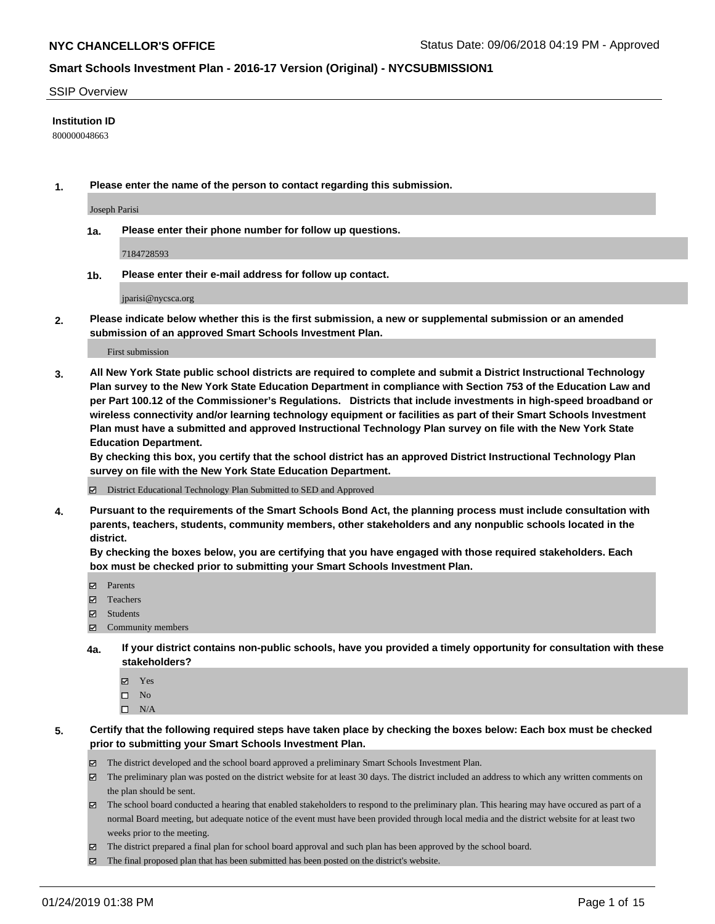#### SSIP Overview

#### **Institution ID**

800000048663

**1. Please enter the name of the person to contact regarding this submission.**

Joseph Parisi

**1a. Please enter their phone number for follow up questions.**

7184728593

**1b. Please enter their e-mail address for follow up contact.**

jparisi@nycsca.org

**2. Please indicate below whether this is the first submission, a new or supplemental submission or an amended submission of an approved Smart Schools Investment Plan.**

First submission

**3. All New York State public school districts are required to complete and submit a District Instructional Technology Plan survey to the New York State Education Department in compliance with Section 753 of the Education Law and per Part 100.12 of the Commissioner's Regulations. Districts that include investments in high-speed broadband or wireless connectivity and/or learning technology equipment or facilities as part of their Smart Schools Investment Plan must have a submitted and approved Instructional Technology Plan survey on file with the New York State Education Department.** 

**By checking this box, you certify that the school district has an approved District Instructional Technology Plan survey on file with the New York State Education Department.**

District Educational Technology Plan Submitted to SED and Approved

**4. Pursuant to the requirements of the Smart Schools Bond Act, the planning process must include consultation with parents, teachers, students, community members, other stakeholders and any nonpublic schools located in the district.** 

**By checking the boxes below, you are certifying that you have engaged with those required stakeholders. Each box must be checked prior to submitting your Smart Schools Investment Plan.**

- Parents
- Teachers
- Students
- Community members
- **4a. If your district contains non-public schools, have you provided a timely opportunity for consultation with these stakeholders?**
	- Yes
	- $\square$  No
	- $\square$  N/A
- **5. Certify that the following required steps have taken place by checking the boxes below: Each box must be checked prior to submitting your Smart Schools Investment Plan.**
	- The district developed and the school board approved a preliminary Smart Schools Investment Plan.
	- $\boxtimes$  The preliminary plan was posted on the district website for at least 30 days. The district included an address to which any written comments on the plan should be sent.
	- $\boxtimes$  The school board conducted a hearing that enabled stakeholders to respond to the preliminary plan. This hearing may have occured as part of a normal Board meeting, but adequate notice of the event must have been provided through local media and the district website for at least two weeks prior to the meeting.
	- The district prepared a final plan for school board approval and such plan has been approved by the school board.
	- $\boxtimes$  The final proposed plan that has been submitted has been posted on the district's website.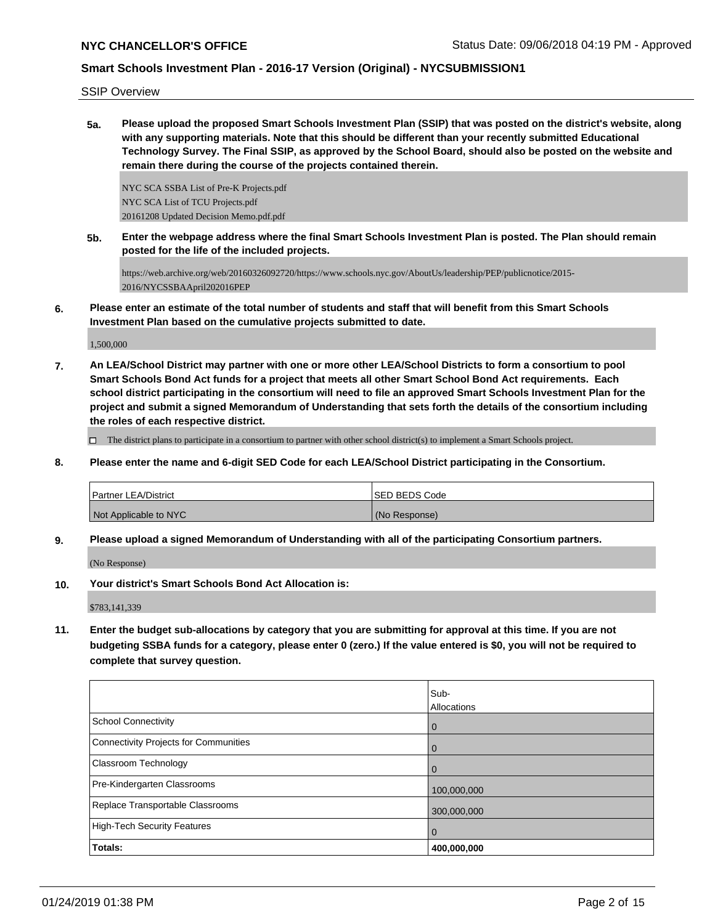SSIP Overview

**5a. Please upload the proposed Smart Schools Investment Plan (SSIP) that was posted on the district's website, along with any supporting materials. Note that this should be different than your recently submitted Educational Technology Survey. The Final SSIP, as approved by the School Board, should also be posted on the website and remain there during the course of the projects contained therein.**

NYC SCA SSBA List of Pre-K Projects.pdf NYC SCA List of TCU Projects.pdf 20161208 Updated Decision Memo.pdf.pdf

**5b. Enter the webpage address where the final Smart Schools Investment Plan is posted. The Plan should remain posted for the life of the included projects.**

https://web.archive.org/web/20160326092720/https://www.schools.nyc.gov/AboutUs/leadership/PEP/publicnotice/2015- 2016/NYCSSBAApril202016PEP

**6. Please enter an estimate of the total number of students and staff that will benefit from this Smart Schools Investment Plan based on the cumulative projects submitted to date.**

1,500,000

**7. An LEA/School District may partner with one or more other LEA/School Districts to form a consortium to pool Smart Schools Bond Act funds for a project that meets all other Smart School Bond Act requirements. Each school district participating in the consortium will need to file an approved Smart Schools Investment Plan for the project and submit a signed Memorandum of Understanding that sets forth the details of the consortium including the roles of each respective district.**

 $\Box$  The district plans to participate in a consortium to partner with other school district(s) to implement a Smart Schools project.

**8. Please enter the name and 6-digit SED Code for each LEA/School District participating in the Consortium.**

| l Partner LEA/District | <b>ISED BEDS Code</b> |
|------------------------|-----------------------|
| Not Applicable to NYC  | (No Response)         |

**9. Please upload a signed Memorandum of Understanding with all of the participating Consortium partners.**

(No Response)

**10. Your district's Smart Schools Bond Act Allocation is:**

\$783,141,339

**11. Enter the budget sub-allocations by category that you are submitting for approval at this time. If you are not budgeting SSBA funds for a category, please enter 0 (zero.) If the value entered is \$0, you will not be required to complete that survey question.**

|                                              | Sub-        |
|----------------------------------------------|-------------|
|                                              | Allocations |
| <b>School Connectivity</b>                   | 0           |
| <b>Connectivity Projects for Communities</b> | 0           |
| Classroom Technology                         | 0           |
| Pre-Kindergarten Classrooms                  | 100,000,000 |
| Replace Transportable Classrooms             | 300,000,000 |
| <b>High-Tech Security Features</b>           | 0           |
| Totals:                                      | 400,000,000 |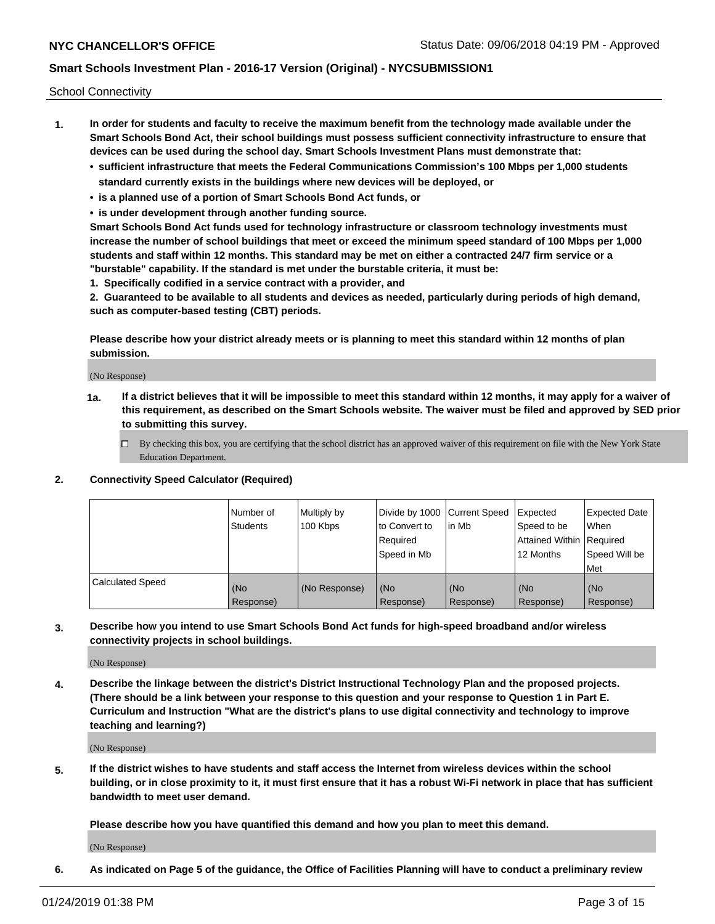School Connectivity

- **1. In order for students and faculty to receive the maximum benefit from the technology made available under the Smart Schools Bond Act, their school buildings must possess sufficient connectivity infrastructure to ensure that devices can be used during the school day. Smart Schools Investment Plans must demonstrate that:**
	- **• sufficient infrastructure that meets the Federal Communications Commission's 100 Mbps per 1,000 students standard currently exists in the buildings where new devices will be deployed, or**
	- **• is a planned use of a portion of Smart Schools Bond Act funds, or**
	- **• is under development through another funding source.**

**Smart Schools Bond Act funds used for technology infrastructure or classroom technology investments must increase the number of school buildings that meet or exceed the minimum speed standard of 100 Mbps per 1,000 students and staff within 12 months. This standard may be met on either a contracted 24/7 firm service or a "burstable" capability. If the standard is met under the burstable criteria, it must be:**

**1. Specifically codified in a service contract with a provider, and**

**2. Guaranteed to be available to all students and devices as needed, particularly during periods of high demand, such as computer-based testing (CBT) periods.**

**Please describe how your district already meets or is planning to meet this standard within 12 months of plan submission.**

(No Response)

**1a. If a district believes that it will be impossible to meet this standard within 12 months, it may apply for a waiver of this requirement, as described on the Smart Schools website. The waiver must be filed and approved by SED prior to submitting this survey.**

 $\Box$  By checking this box, you are certifying that the school district has an approved waiver of this requirement on file with the New York State Education Department.

### **2. Connectivity Speed Calculator (Required)**

|                         | l Number of<br><b>Students</b> | Multiply by<br>100 Kbps | Divide by 1000 Current Speed<br>to Convert to<br>Required<br>l Speed in Mb | lin Mb           | Expected<br>Speed to be<br>Attained Within   Required<br>12 Months | <b>Expected Date</b><br>When<br>Speed Will be<br>Met |
|-------------------------|--------------------------------|-------------------------|----------------------------------------------------------------------------|------------------|--------------------------------------------------------------------|------------------------------------------------------|
| <b>Calculated Speed</b> | (No<br>Response)               | (No Response)           | (No<br>Response)                                                           | (No<br>Response) | (No<br>Response)                                                   | (No<br>Response)                                     |

**3. Describe how you intend to use Smart Schools Bond Act funds for high-speed broadband and/or wireless connectivity projects in school buildings.**

(No Response)

**4. Describe the linkage between the district's District Instructional Technology Plan and the proposed projects. (There should be a link between your response to this question and your response to Question 1 in Part E. Curriculum and Instruction "What are the district's plans to use digital connectivity and technology to improve teaching and learning?)**

(No Response)

**5. If the district wishes to have students and staff access the Internet from wireless devices within the school building, or in close proximity to it, it must first ensure that it has a robust Wi-Fi network in place that has sufficient bandwidth to meet user demand.**

**Please describe how you have quantified this demand and how you plan to meet this demand.**

(No Response)

**6. As indicated on Page 5 of the guidance, the Office of Facilities Planning will have to conduct a preliminary review**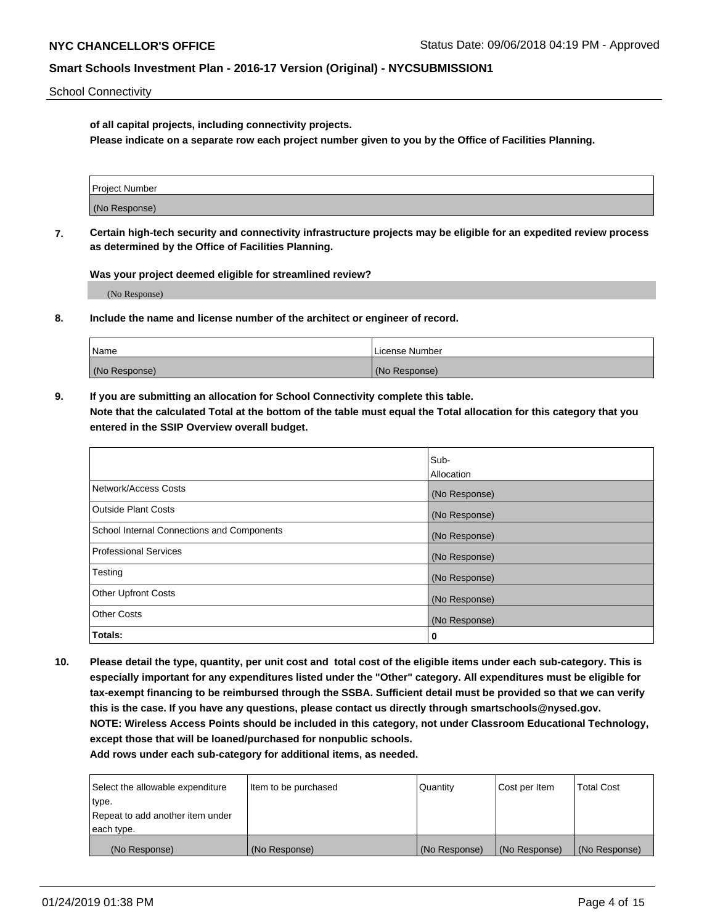School Connectivity

**of all capital projects, including connectivity projects.**

**Please indicate on a separate row each project number given to you by the Office of Facilities Planning.**

| Project Number |  |
|----------------|--|
|                |  |
|                |  |
| (No Response)  |  |
|                |  |

**7. Certain high-tech security and connectivity infrastructure projects may be eligible for an expedited review process as determined by the Office of Facilities Planning.**

**Was your project deemed eligible for streamlined review?**

(No Response)

**8. Include the name and license number of the architect or engineer of record.**

| Name          | License Number |
|---------------|----------------|
| (No Response) | (No Response)  |

**9. If you are submitting an allocation for School Connectivity complete this table. Note that the calculated Total at the bottom of the table must equal the Total allocation for this category that you entered in the SSIP Overview overall budget.** 

|                                            | Sub-              |
|--------------------------------------------|-------------------|
|                                            | <b>Allocation</b> |
| Network/Access Costs                       | (No Response)     |
| <b>Outside Plant Costs</b>                 | (No Response)     |
| School Internal Connections and Components | (No Response)     |
| <b>Professional Services</b>               | (No Response)     |
| Testing                                    | (No Response)     |
| <b>Other Upfront Costs</b>                 | (No Response)     |
| <b>Other Costs</b>                         | (No Response)     |
| Totals:                                    | 0                 |

**10. Please detail the type, quantity, per unit cost and total cost of the eligible items under each sub-category. This is especially important for any expenditures listed under the "Other" category. All expenditures must be eligible for tax-exempt financing to be reimbursed through the SSBA. Sufficient detail must be provided so that we can verify this is the case. If you have any questions, please contact us directly through smartschools@nysed.gov. NOTE: Wireless Access Points should be included in this category, not under Classroom Educational Technology, except those that will be loaned/purchased for nonpublic schools.**

| Select the allowable expenditure | Item to be purchased | Quantity      | Cost per Item | <b>Total Cost</b> |
|----------------------------------|----------------------|---------------|---------------|-------------------|
| type.                            |                      |               |               |                   |
| Repeat to add another item under |                      |               |               |                   |
| each type.                       |                      |               |               |                   |
| (No Response)                    | (No Response)        | (No Response) | (No Response) | (No Response)     |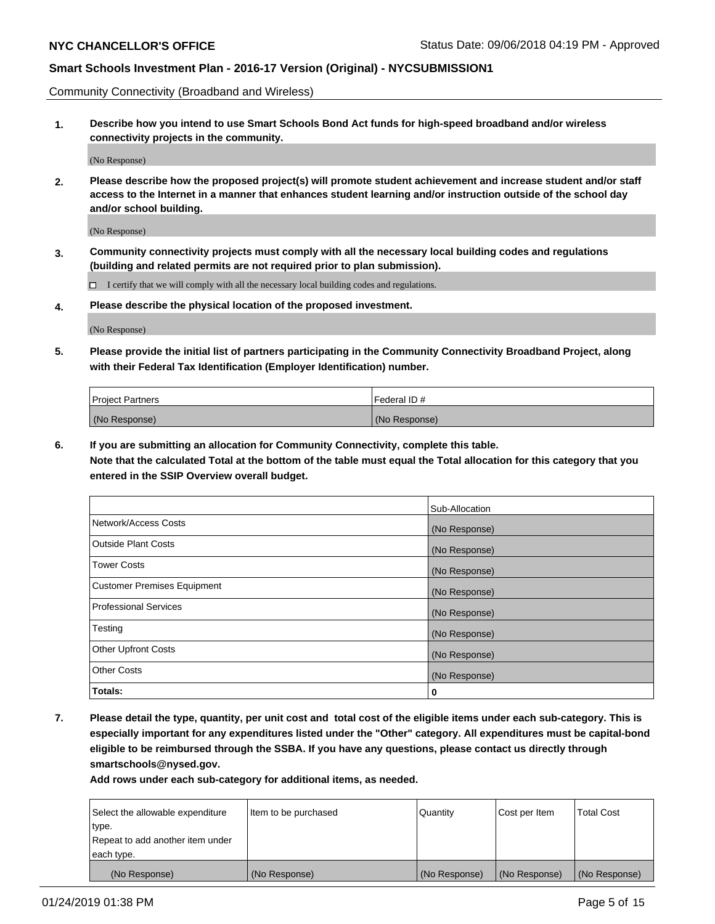Community Connectivity (Broadband and Wireless)

**1. Describe how you intend to use Smart Schools Bond Act funds for high-speed broadband and/or wireless connectivity projects in the community.**

(No Response)

**2. Please describe how the proposed project(s) will promote student achievement and increase student and/or staff access to the Internet in a manner that enhances student learning and/or instruction outside of the school day and/or school building.**

(No Response)

**3. Community connectivity projects must comply with all the necessary local building codes and regulations (building and related permits are not required prior to plan submission).**

 $\Box$  I certify that we will comply with all the necessary local building codes and regulations.

**4. Please describe the physical location of the proposed investment.**

(No Response)

**5. Please provide the initial list of partners participating in the Community Connectivity Broadband Project, along with their Federal Tax Identification (Employer Identification) number.**

| <b>Project Partners</b> | l Federal ID # |
|-------------------------|----------------|
| (No Response)           | (No Response)  |

**6. If you are submitting an allocation for Community Connectivity, complete this table.**

**Note that the calculated Total at the bottom of the table must equal the Total allocation for this category that you entered in the SSIP Overview overall budget.**

|                                    | Sub-Allocation |
|------------------------------------|----------------|
| Network/Access Costs               | (No Response)  |
| Outside Plant Costs                | (No Response)  |
| <b>Tower Costs</b>                 | (No Response)  |
| <b>Customer Premises Equipment</b> | (No Response)  |
| Professional Services              | (No Response)  |
| Testing                            | (No Response)  |
| <b>Other Upfront Costs</b>         | (No Response)  |
| <b>Other Costs</b>                 | (No Response)  |
| Totals:                            | 0              |

**7. Please detail the type, quantity, per unit cost and total cost of the eligible items under each sub-category. This is especially important for any expenditures listed under the "Other" category. All expenditures must be capital-bond eligible to be reimbursed through the SSBA. If you have any questions, please contact us directly through smartschools@nysed.gov.**

| Select the allowable expenditure | Item to be purchased | Quantity      | Cost per Item | <b>Total Cost</b> |
|----------------------------------|----------------------|---------------|---------------|-------------------|
| type.                            |                      |               |               |                   |
| Repeat to add another item under |                      |               |               |                   |
| each type.                       |                      |               |               |                   |
| (No Response)                    | (No Response)        | (No Response) | (No Response) | (No Response)     |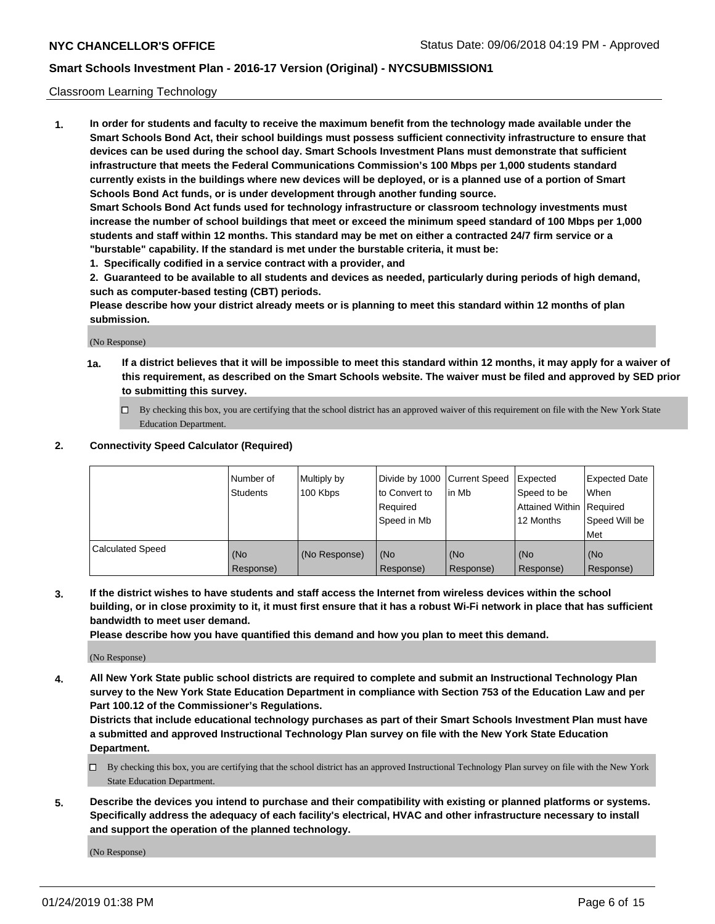### Classroom Learning Technology

**1. In order for students and faculty to receive the maximum benefit from the technology made available under the Smart Schools Bond Act, their school buildings must possess sufficient connectivity infrastructure to ensure that devices can be used during the school day. Smart Schools Investment Plans must demonstrate that sufficient infrastructure that meets the Federal Communications Commission's 100 Mbps per 1,000 students standard currently exists in the buildings where new devices will be deployed, or is a planned use of a portion of Smart Schools Bond Act funds, or is under development through another funding source. Smart Schools Bond Act funds used for technology infrastructure or classroom technology investments must**

**increase the number of school buildings that meet or exceed the minimum speed standard of 100 Mbps per 1,000 students and staff within 12 months. This standard may be met on either a contracted 24/7 firm service or a "burstable" capability. If the standard is met under the burstable criteria, it must be:**

**1. Specifically codified in a service contract with a provider, and**

**2. Guaranteed to be available to all students and devices as needed, particularly during periods of high demand, such as computer-based testing (CBT) periods.**

**Please describe how your district already meets or is planning to meet this standard within 12 months of plan submission.**

(No Response)

- **1a. If a district believes that it will be impossible to meet this standard within 12 months, it may apply for a waiver of this requirement, as described on the Smart Schools website. The waiver must be filed and approved by SED prior to submitting this survey.**
	- By checking this box, you are certifying that the school district has an approved waiver of this requirement on file with the New York State Education Department.

#### **2. Connectivity Speed Calculator (Required)**

|                         | I Number of<br>Students | Multiply by<br>100 Kbps | to Convert to<br>Required<br>Speed in Mb | Divide by 1000 Current Speed Expected<br>lin Mb | Speed to be<br>Attained Within Required<br>12 Months | <b>Expected Date</b><br>When<br>Speed Will be<br>Met |
|-------------------------|-------------------------|-------------------------|------------------------------------------|-------------------------------------------------|------------------------------------------------------|------------------------------------------------------|
| <b>Calculated Speed</b> | (No<br>Response)        | (No Response)           | (No<br>Response)                         | (No<br>Response)                                | (No<br>Response)                                     | (No<br>Response)                                     |

**3. If the district wishes to have students and staff access the Internet from wireless devices within the school building, or in close proximity to it, it must first ensure that it has a robust Wi-Fi network in place that has sufficient bandwidth to meet user demand.**

**Please describe how you have quantified this demand and how you plan to meet this demand.**

(No Response)

**4. All New York State public school districts are required to complete and submit an Instructional Technology Plan survey to the New York State Education Department in compliance with Section 753 of the Education Law and per Part 100.12 of the Commissioner's Regulations.**

**Districts that include educational technology purchases as part of their Smart Schools Investment Plan must have a submitted and approved Instructional Technology Plan survey on file with the New York State Education Department.**

- $\Box$  By checking this box, you are certifying that the school district has an approved Instructional Technology Plan survey on file with the New York State Education Department.
- **5. Describe the devices you intend to purchase and their compatibility with existing or planned platforms or systems. Specifically address the adequacy of each facility's electrical, HVAC and other infrastructure necessary to install and support the operation of the planned technology.**

(No Response)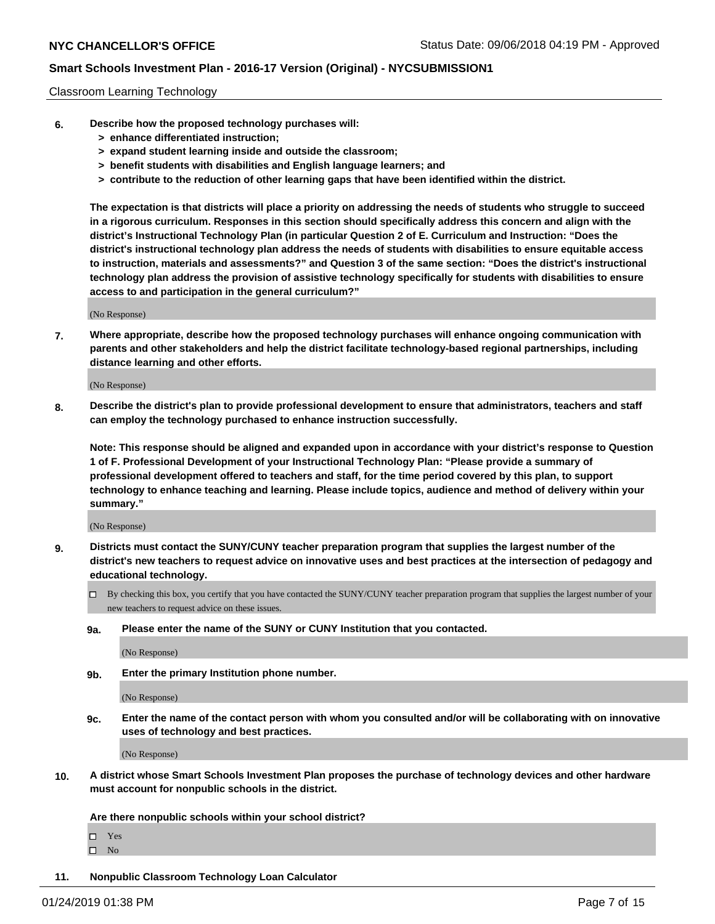### Classroom Learning Technology

- **6. Describe how the proposed technology purchases will:**
	- **> enhance differentiated instruction;**
	- **> expand student learning inside and outside the classroom;**
	- **> benefit students with disabilities and English language learners; and**
	- **> contribute to the reduction of other learning gaps that have been identified within the district.**

**The expectation is that districts will place a priority on addressing the needs of students who struggle to succeed in a rigorous curriculum. Responses in this section should specifically address this concern and align with the district's Instructional Technology Plan (in particular Question 2 of E. Curriculum and Instruction: "Does the district's instructional technology plan address the needs of students with disabilities to ensure equitable access to instruction, materials and assessments?" and Question 3 of the same section: "Does the district's instructional technology plan address the provision of assistive technology specifically for students with disabilities to ensure access to and participation in the general curriculum?"**

(No Response)

**7. Where appropriate, describe how the proposed technology purchases will enhance ongoing communication with parents and other stakeholders and help the district facilitate technology-based regional partnerships, including distance learning and other efforts.**

(No Response)

**8. Describe the district's plan to provide professional development to ensure that administrators, teachers and staff can employ the technology purchased to enhance instruction successfully.**

**Note: This response should be aligned and expanded upon in accordance with your district's response to Question 1 of F. Professional Development of your Instructional Technology Plan: "Please provide a summary of professional development offered to teachers and staff, for the time period covered by this plan, to support technology to enhance teaching and learning. Please include topics, audience and method of delivery within your summary."**

(No Response)

- **9. Districts must contact the SUNY/CUNY teacher preparation program that supplies the largest number of the district's new teachers to request advice on innovative uses and best practices at the intersection of pedagogy and educational technology.**
	- By checking this box, you certify that you have contacted the SUNY/CUNY teacher preparation program that supplies the largest number of your new teachers to request advice on these issues.
	- **9a. Please enter the name of the SUNY or CUNY Institution that you contacted.**

(No Response)

**9b. Enter the primary Institution phone number.**

(No Response)

**9c. Enter the name of the contact person with whom you consulted and/or will be collaborating with on innovative uses of technology and best practices.**

(No Response)

**10. A district whose Smart Schools Investment Plan proposes the purchase of technology devices and other hardware must account for nonpublic schools in the district.**

**Are there nonpublic schools within your school district?**

Yes

 $\square$  No

**11. Nonpublic Classroom Technology Loan Calculator**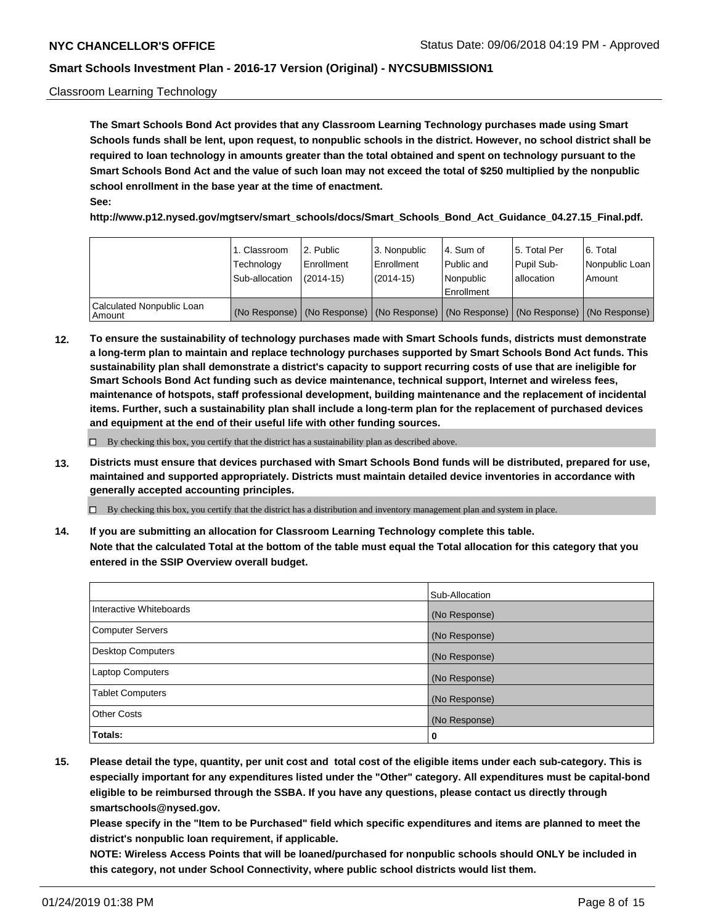### Classroom Learning Technology

**The Smart Schools Bond Act provides that any Classroom Learning Technology purchases made using Smart Schools funds shall be lent, upon request, to nonpublic schools in the district. However, no school district shall be required to loan technology in amounts greater than the total obtained and spent on technology pursuant to the Smart Schools Bond Act and the value of such loan may not exceed the total of \$250 multiplied by the nonpublic school enrollment in the base year at the time of enactment. See:**

**http://www.p12.nysed.gov/mgtserv/smart\_schools/docs/Smart\_Schools\_Bond\_Act\_Guidance\_04.27.15\_Final.pdf.**

|                                       | 1. Classroom<br>Technology<br>Sub-allocation | 2. Public<br>l Enrollment<br>$(2014 - 15)$ | l 3. Nonpublic<br>l Enrollment<br>$(2014 - 15)$ | l 4. Sum of<br>Public and<br>l Nonpublic<br>Enrollment                                        | 15. Total Per<br>Pupil Sub-<br>l allocation | l 6. Total<br>Nonpublic Loan<br>Amount |
|---------------------------------------|----------------------------------------------|--------------------------------------------|-------------------------------------------------|-----------------------------------------------------------------------------------------------|---------------------------------------------|----------------------------------------|
| Calculated Nonpublic Loan<br>l Amount |                                              |                                            |                                                 | (No Response)   (No Response)   (No Response)   (No Response)   (No Response)   (No Response) |                                             |                                        |

**12. To ensure the sustainability of technology purchases made with Smart Schools funds, districts must demonstrate a long-term plan to maintain and replace technology purchases supported by Smart Schools Bond Act funds. This sustainability plan shall demonstrate a district's capacity to support recurring costs of use that are ineligible for Smart Schools Bond Act funding such as device maintenance, technical support, Internet and wireless fees, maintenance of hotspots, staff professional development, building maintenance and the replacement of incidental items. Further, such a sustainability plan shall include a long-term plan for the replacement of purchased devices and equipment at the end of their useful life with other funding sources.**

 $\Box$  By checking this box, you certify that the district has a sustainability plan as described above.

**13. Districts must ensure that devices purchased with Smart Schools Bond funds will be distributed, prepared for use, maintained and supported appropriately. Districts must maintain detailed device inventories in accordance with generally accepted accounting principles.**

By checking this box, you certify that the district has a distribution and inventory management plan and system in place.

**14. If you are submitting an allocation for Classroom Learning Technology complete this table. Note that the calculated Total at the bottom of the table must equal the Total allocation for this category that you entered in the SSIP Overview overall budget.**

|                          | Sub-Allocation |
|--------------------------|----------------|
| Interactive Whiteboards  | (No Response)  |
| <b>Computer Servers</b>  | (No Response)  |
| <b>Desktop Computers</b> | (No Response)  |
| <b>Laptop Computers</b>  | (No Response)  |
| <b>Tablet Computers</b>  | (No Response)  |
| <b>Other Costs</b>       | (No Response)  |
| Totals:                  | 0              |

**15. Please detail the type, quantity, per unit cost and total cost of the eligible items under each sub-category. This is especially important for any expenditures listed under the "Other" category. All expenditures must be capital-bond eligible to be reimbursed through the SSBA. If you have any questions, please contact us directly through smartschools@nysed.gov.**

**Please specify in the "Item to be Purchased" field which specific expenditures and items are planned to meet the district's nonpublic loan requirement, if applicable.**

**NOTE: Wireless Access Points that will be loaned/purchased for nonpublic schools should ONLY be included in this category, not under School Connectivity, where public school districts would list them.**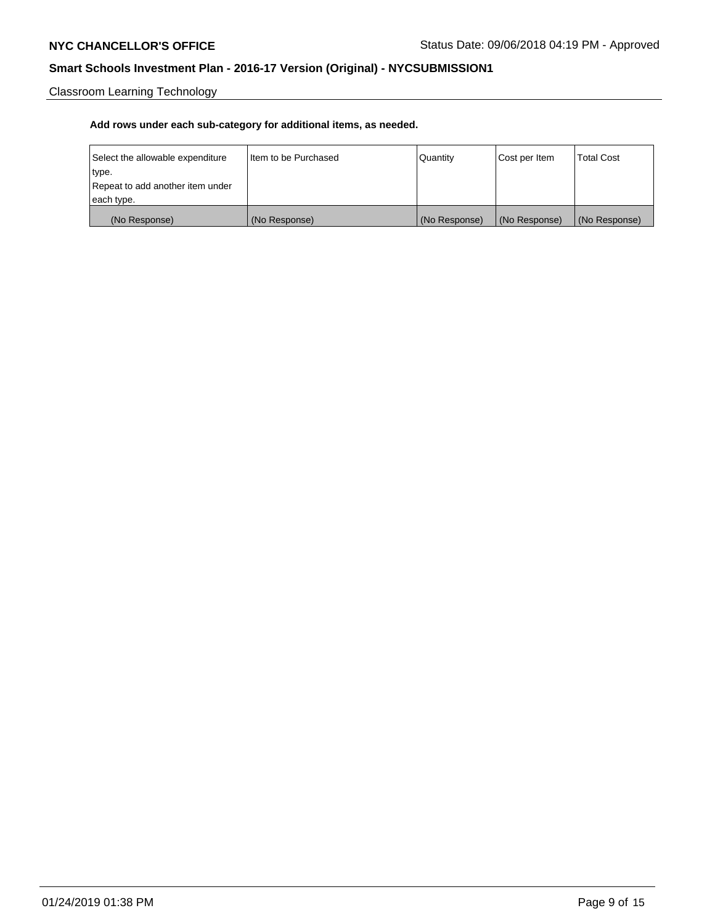Classroom Learning Technology

| Select the allowable expenditure | Iltem to be Purchased | Quantity      | Cost per Item | <b>Total Cost</b> |
|----------------------------------|-----------------------|---------------|---------------|-------------------|
| type.                            |                       |               |               |                   |
| Repeat to add another item under |                       |               |               |                   |
| each type.                       |                       |               |               |                   |
| (No Response)                    | (No Response)         | (No Response) | (No Response) | (No Response)     |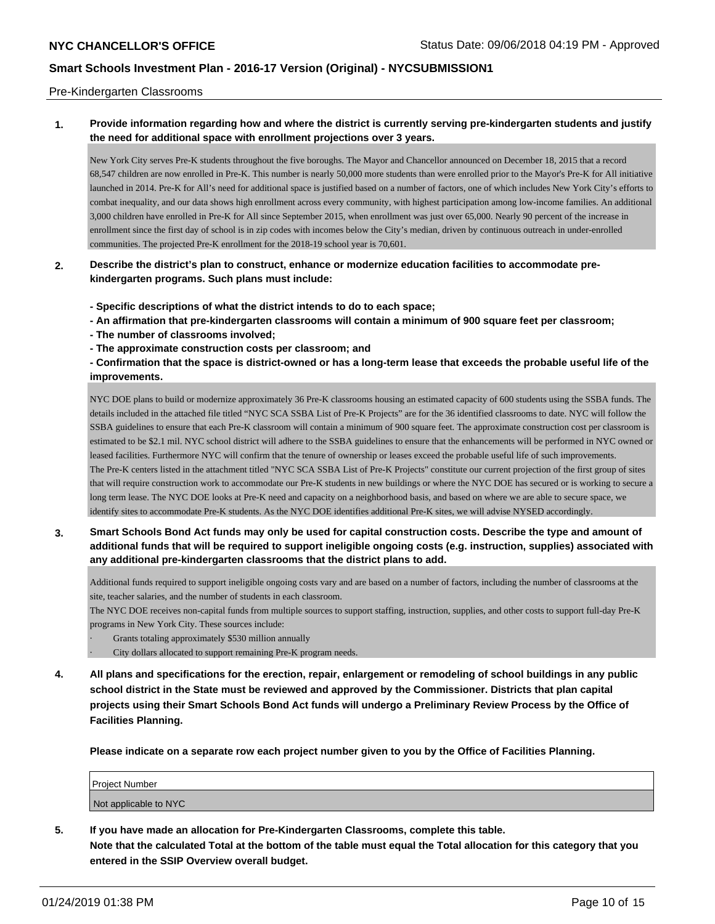#### Pre-Kindergarten Classrooms

## **1. Provide information regarding how and where the district is currently serving pre-kindergarten students and justify the need for additional space with enrollment projections over 3 years.**

New York City serves Pre-K students throughout the five boroughs. The Mayor and Chancellor announced on December 18, 2015 that a record 68,547 children are now enrolled in Pre-K. This number is nearly 50,000 more students than were enrolled prior to the Mayor's Pre-K for All initiative launched in 2014. Pre-K for All's need for additional space is justified based on a number of factors, one of which includes New York City's efforts to combat inequality, and our data shows high enrollment across every community, with highest participation among low-income families. An additional 3,000 children have enrolled in Pre-K for All since September 2015, when enrollment was just over 65,000. Nearly 90 percent of the increase in enrollment since the first day of school is in zip codes with incomes below the City's median, driven by continuous outreach in under-enrolled communities. The projected Pre-K enrollment for the 2018-19 school year is 70,601.

## **2. Describe the district's plan to construct, enhance or modernize education facilities to accommodate prekindergarten programs. Such plans must include:**

**- Specific descriptions of what the district intends to do to each space;**

- **An affirmation that pre-kindergarten classrooms will contain a minimum of 900 square feet per classroom;**
- **The number of classrooms involved;**
- **The approximate construction costs per classroom; and**

**- Confirmation that the space is district-owned or has a long-term lease that exceeds the probable useful life of the improvements.**

NYC DOE plans to build or modernize approximately 36 Pre-K classrooms housing an estimated capacity of 600 students using the SSBA funds. The details included in the attached file titled "NYC SCA SSBA List of Pre-K Projects" are for the 36 identified classrooms to date. NYC will follow the SSBA guidelines to ensure that each Pre-K classroom will contain a minimum of 900 square feet. The approximate construction cost per classroom is estimated to be \$2.1 mil. NYC school district will adhere to the SSBA guidelines to ensure that the enhancements will be performed in NYC owned or leased facilities. Furthermore NYC will confirm that the tenure of ownership or leases exceed the probable useful life of such improvements. The Pre-K centers listed in the attachment titled "NYC SCA SSBA List of Pre-K Projects" constitute our current projection of the first group of sites that will require construction work to accommodate our Pre-K students in new buildings or where the NYC DOE has secured or is working to secure a long term lease. The NYC DOE looks at Pre-K need and capacity on a neighborhood basis, and based on where we are able to secure space, we identify sites to accommodate Pre-K students. As the NYC DOE identifies additional Pre-K sites, we will advise NYSED accordingly.

**3. Smart Schools Bond Act funds may only be used for capital construction costs. Describe the type and amount of additional funds that will be required to support ineligible ongoing costs (e.g. instruction, supplies) associated with any additional pre-kindergarten classrooms that the district plans to add.**

Additional funds required to support ineligible ongoing costs vary and are based on a number of factors, including the number of classrooms at the site, teacher salaries, and the number of students in each classroom.

The NYC DOE receives non-capital funds from multiple sources to support staffing, instruction, supplies, and other costs to support full-day Pre-K programs in New York City. These sources include:

- Grants totaling approximately \$530 million annually
- City dollars allocated to support remaining Pre-K program needs.
- **4. All plans and specifications for the erection, repair, enlargement or remodeling of school buildings in any public school district in the State must be reviewed and approved by the Commissioner. Districts that plan capital projects using their Smart Schools Bond Act funds will undergo a Preliminary Review Process by the Office of Facilities Planning.**

**Please indicate on a separate row each project number given to you by the Office of Facilities Planning.**

| Project Number        |  |
|-----------------------|--|
| Not applicable to NYC |  |

**5. If you have made an allocation for Pre-Kindergarten Classrooms, complete this table. Note that the calculated Total at the bottom of the table must equal the Total allocation for this category that you entered in the SSIP Overview overall budget.**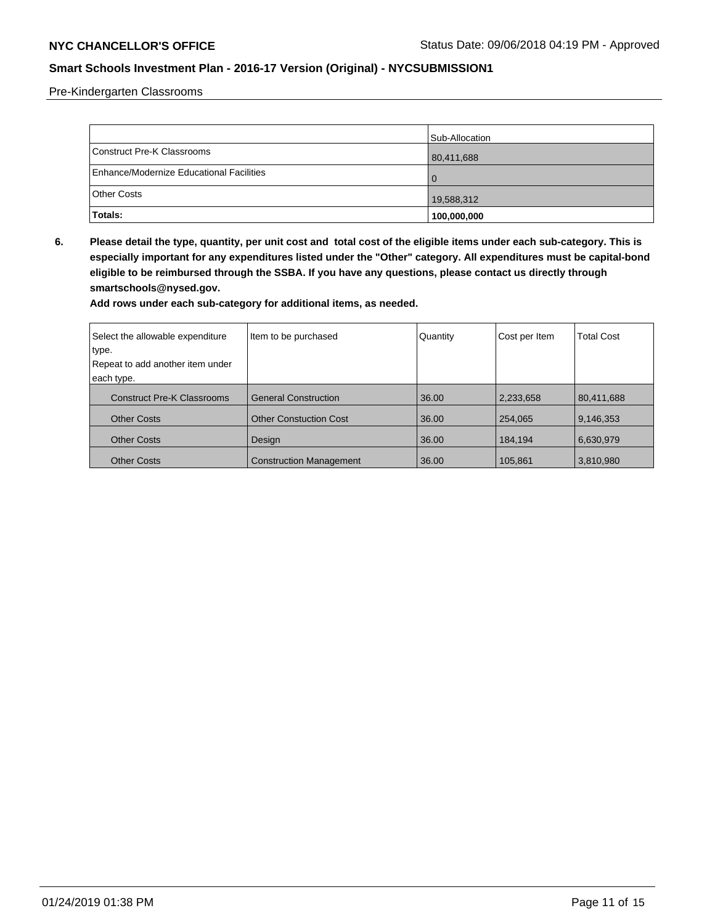Pre-Kindergarten Classrooms

|                                          | Sub-Allocation |
|------------------------------------------|----------------|
| Construct Pre-K Classrooms               | 80,411,688     |
| Enhance/Modernize Educational Facilities |                |
| <b>Other Costs</b>                       | 19,588,312     |
| Totals:                                  | 100,000,000    |

**6. Please detail the type, quantity, per unit cost and total cost of the eligible items under each sub-category. This is especially important for any expenditures listed under the "Other" category. All expenditures must be capital-bond eligible to be reimbursed through the SSBA. If you have any questions, please contact us directly through smartschools@nysed.gov.**

| Select the allowable expenditure<br>type.<br>Repeat to add another item under | Item to be purchased           | Quantity | Cost per Item | <b>Total Cost</b> |
|-------------------------------------------------------------------------------|--------------------------------|----------|---------------|-------------------|
| each type.                                                                    |                                |          |               |                   |
| <b>Construct Pre-K Classrooms</b>                                             | <b>General Construction</b>    | 36.00    | 2,233,658     | 80,411,688        |
| <b>Other Costs</b>                                                            | <b>Other Constuction Cost</b>  | 36.00    | 254,065       | 9,146,353         |
| <b>Other Costs</b>                                                            | Design                         | 36.00    | 184.194       | 6,630,979         |
| <b>Other Costs</b>                                                            | <b>Construction Management</b> | 36.00    | 105,861       | 3,810,980         |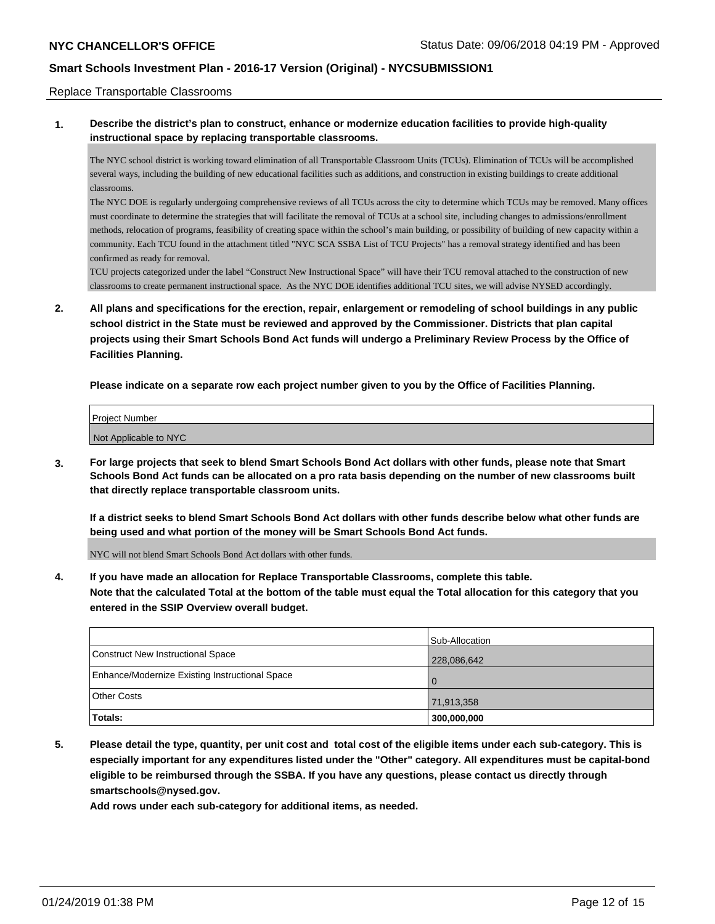#### Replace Transportable Classrooms

**1. Describe the district's plan to construct, enhance or modernize education facilities to provide high-quality instructional space by replacing transportable classrooms.**

The NYC school district is working toward elimination of all Transportable Classroom Units (TCUs). Elimination of TCUs will be accomplished several ways, including the building of new educational facilities such as additions, and construction in existing buildings to create additional classrooms.

The NYC DOE is regularly undergoing comprehensive reviews of all TCUs across the city to determine which TCUs may be removed. Many offices must coordinate to determine the strategies that will facilitate the removal of TCUs at a school site, including changes to admissions/enrollment methods, relocation of programs, feasibility of creating space within the school's main building, or possibility of building of new capacity within a community. Each TCU found in the attachment titled "NYC SCA SSBA List of TCU Projects" has a removal strategy identified and has been confirmed as ready for removal.

TCU projects categorized under the label "Construct New Instructional Space" will have their TCU removal attached to the construction of new classrooms to create permanent instructional space. As the NYC DOE identifies additional TCU sites, we will advise NYSED accordingly.

**2. All plans and specifications for the erection, repair, enlargement or remodeling of school buildings in any public school district in the State must be reviewed and approved by the Commissioner. Districts that plan capital projects using their Smart Schools Bond Act funds will undergo a Preliminary Review Process by the Office of Facilities Planning.**

**Please indicate on a separate row each project number given to you by the Office of Facilities Planning.**

| Project Number        |  |
|-----------------------|--|
| Not Applicable to NYC |  |

**3. For large projects that seek to blend Smart Schools Bond Act dollars with other funds, please note that Smart Schools Bond Act funds can be allocated on a pro rata basis depending on the number of new classrooms built that directly replace transportable classroom units.**

**If a district seeks to blend Smart Schools Bond Act dollars with other funds describe below what other funds are being used and what portion of the money will be Smart Schools Bond Act funds.**

NYC will not blend Smart Schools Bond Act dollars with other funds.

**4. If you have made an allocation for Replace Transportable Classrooms, complete this table. Note that the calculated Total at the bottom of the table must equal the Total allocation for this category that you entered in the SSIP Overview overall budget.**

|                                                | Sub-Allocation |
|------------------------------------------------|----------------|
| Construct New Instructional Space              | 228,086,642    |
| Enhance/Modernize Existing Instructional Space |                |
| Other Costs                                    | 71,913,358     |
| Totals:                                        | 300,000,000    |

**5. Please detail the type, quantity, per unit cost and total cost of the eligible items under each sub-category. This is especially important for any expenditures listed under the "Other" category. All expenditures must be capital-bond eligible to be reimbursed through the SSBA. If you have any questions, please contact us directly through smartschools@nysed.gov.**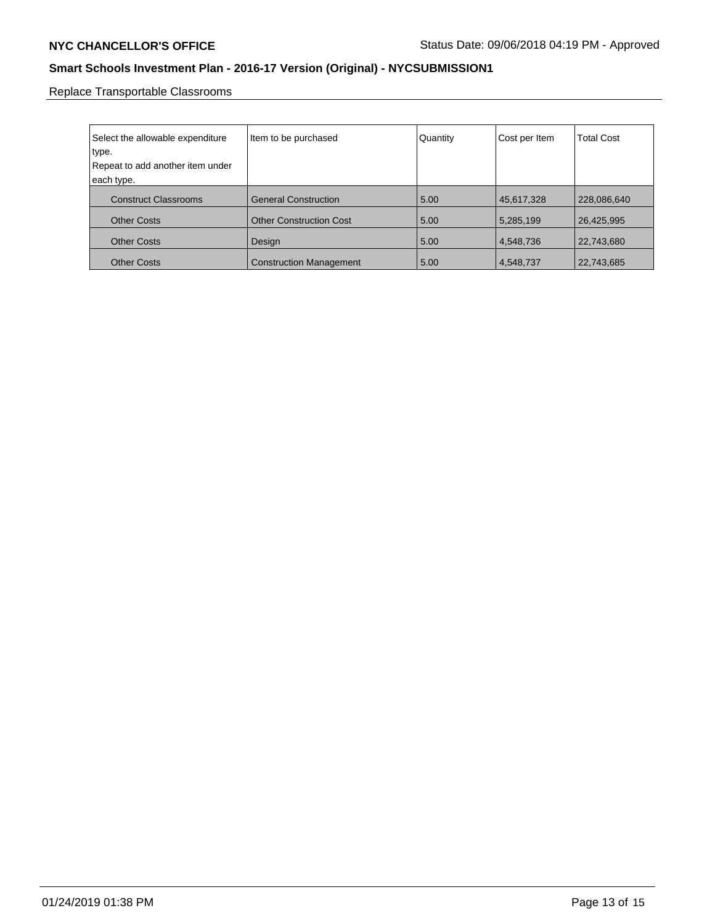Replace Transportable Classrooms

| Select the allowable expenditure<br>type.<br>Repeat to add another item under<br>each type. | Item to be purchased           | Quantity | Cost per Item | <b>Total Cost</b> |
|---------------------------------------------------------------------------------------------|--------------------------------|----------|---------------|-------------------|
| <b>Construct Classrooms</b>                                                                 | <b>General Construction</b>    | 5.00     | 45,617,328    | 228,086,640       |
| <b>Other Costs</b>                                                                          | <b>Other Construction Cost</b> | 5.00     | 5,285,199     | 26,425,995        |
| <b>Other Costs</b>                                                                          | Design                         | 5.00     | 4,548,736     | 22,743,680        |
| <b>Other Costs</b>                                                                          | <b>Construction Management</b> | 5.00     | 4,548,737     | 22,743,685        |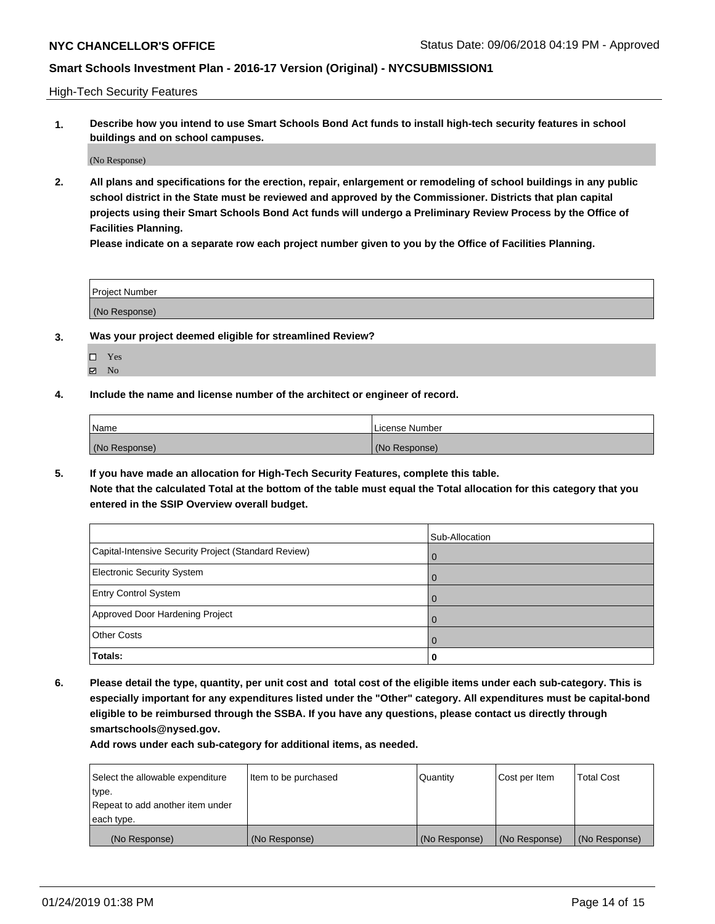High-Tech Security Features

**1. Describe how you intend to use Smart Schools Bond Act funds to install high-tech security features in school buildings and on school campuses.**

(No Response)

**2. All plans and specifications for the erection, repair, enlargement or remodeling of school buildings in any public school district in the State must be reviewed and approved by the Commissioner. Districts that plan capital projects using their Smart Schools Bond Act funds will undergo a Preliminary Review Process by the Office of Facilities Planning.** 

**Please indicate on a separate row each project number given to you by the Office of Facilities Planning.**

| <b>Project Number</b> |  |
|-----------------------|--|
| (No Response)         |  |

- **3. Was your project deemed eligible for streamlined Review?**
	- Yes  $\boxtimes$  No
	-
- **4. Include the name and license number of the architect or engineer of record.**

| Name          | License Number |
|---------------|----------------|
| (No Response) | (No Response)  |

**5. If you have made an allocation for High-Tech Security Features, complete this table.**

**Note that the calculated Total at the bottom of the table must equal the Total allocation for this category that you entered in the SSIP Overview overall budget.**

|                                                      | Sub-Allocation |
|------------------------------------------------------|----------------|
| Capital-Intensive Security Project (Standard Review) | $\mathbf 0$    |
| <b>Electronic Security System</b>                    | $\Omega$       |
| <b>Entry Control System</b>                          |                |
| Approved Door Hardening Project                      | $\Omega$       |
| <b>Other Costs</b>                                   |                |
| Totals:                                              | 0              |

**6. Please detail the type, quantity, per unit cost and total cost of the eligible items under each sub-category. This is especially important for any expenditures listed under the "Other" category. All expenditures must be capital-bond eligible to be reimbursed through the SSBA. If you have any questions, please contact us directly through smartschools@nysed.gov.**

| Select the allowable expenditure | Item to be purchased | l Quantitv    | Cost per Item | <b>Total Cost</b> |
|----------------------------------|----------------------|---------------|---------------|-------------------|
| type.                            |                      |               |               |                   |
| Repeat to add another item under |                      |               |               |                   |
| each type.                       |                      |               |               |                   |
| (No Response)                    | (No Response)        | (No Response) | (No Response) | (No Response)     |